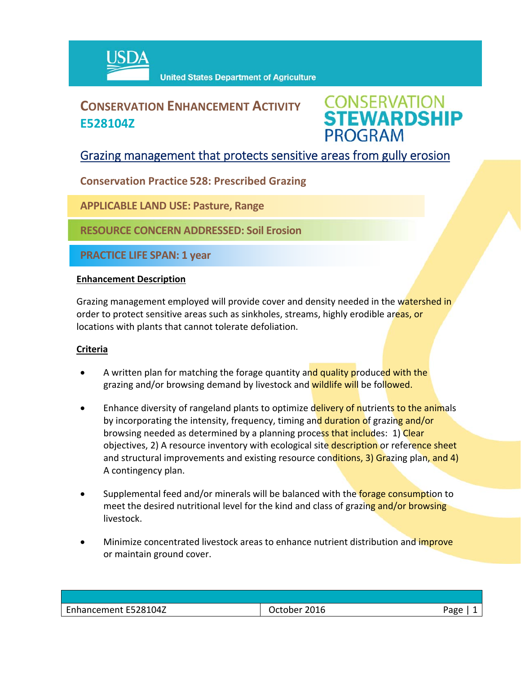

# **CONSERVATION ENHANCEMENT ACTIVITY E528104Z**



## Grazing management that protects sensitive areas from gully erosion

**Conservation Practice 528: Prescribed Grazing**

**APPLICABLE LAND USE: Pasture, Range**

**RESOURCE CONCERN ADDRESSED: Soil Erosion**

**PRACTICE LIFE SPAN: 1 year**

#### **Enhancement Description**

Grazing management employed will provide cover and density needed in the watershed in order to protect sensitive areas such as sinkholes, streams, highly erodible areas, or locations with plants that cannot tolerate defoliation.

### **Criteria**

- A written plan for matching the forage quantity and quality produced with the grazing and/or browsing demand by livestock and wildlife will be followed.
- Enhance diversity of rangeland plants to optimize delivery of nutrients to the animals by incorporating the intensity, frequency, timing and duration of grazing and/or browsing needed as determined by a planning process that includes: 1) Clear objectives, 2) A resource inventory with ecological site description or reference sheet and structural improvements and existing resource conditions, 3) Grazing plan, and 4) A contingency plan.
- Supplemental feed and/or minerals will be balanced with the forage consumption to meet the desired nutritional level for the kind and class of grazing and/or browsing livestock.
- Minimize concentrated livestock areas to enhance nutrient distribution and *improve* or maintain ground cover.

| Enhancement E528104Z | October 2016 | Page |
|----------------------|--------------|------|